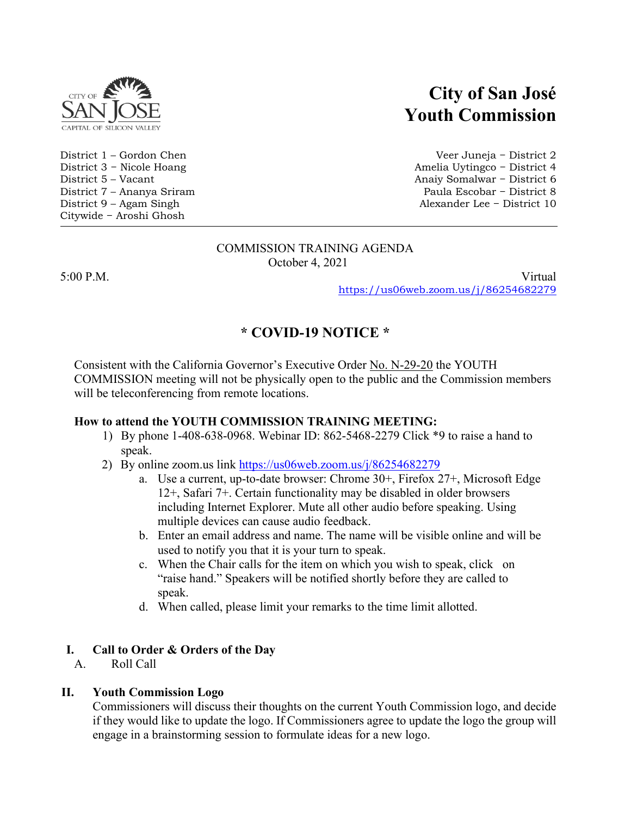

Citywide − Aroshi Ghosh

# **City of San José Youth Commission**

District 1 – Gordon Chen Veer Juneja − District 2 District 3 − Nicole Hoang Amelia Uytingco − District 4 Anaiy Somalwar − District 6 District 7 – Ananya Sriram Paula Escobar − District 8 District 9 – Agam Singh Alexander Lee − District 10

#### COMMISSION TRAINING AGENDA October 4, 2021

5:00 P.M. Virtual <https://us06web.zoom.us/j/86254682279>

# **\* COVID-19 NOTICE \***

Consistent with the California Governor's Executive Order [No. N-29-20](https://www.gov.ca.gov/wp-content/uploads/2020/03/3.17.20-N-29-20-EO.pdf) the YOUTH COMMISSION meeting will not be physically open to the public and the Commission members will be teleconferencing from remote locations.

# **How to attend the YOUTH COMMISSION TRAINING MEETING:**

- 1) By phone 1-408-638-0968. Webinar ID: 862-5468-2279 Click \*9 to raise a hand to speak.
- 2) By online zoom.us link<https://us06web.zoom.us/j/86254682279>
	- a. Use a current, up-to-date browser: Chrome 30+, Firefox 27+, Microsoft Edge 12+, Safari 7+. Certain functionality may be disabled in older browsers including Internet Explorer. Mute all other audio before speaking. Using multiple devices can cause audio feedback.
	- b. Enter an email address and name. The name will be visible online and will be used to notify you that it is your turn to speak.
	- c. When the Chair calls for the item on which you wish to speak, click on "raise hand." Speakers will be notified shortly before they are called to speak.
	- d. When called, please limit your remarks to the time limit allotted.

# **I. Call to Order & Orders of the Day**

A. Roll Call

# **II. Youth Commission Logo**

Commissioners will discuss their thoughts on the current Youth Commission logo, and decide if they would like to update the logo. If Commissioners agree to update the logo the group will engage in a brainstorming session to formulate ideas for a new logo.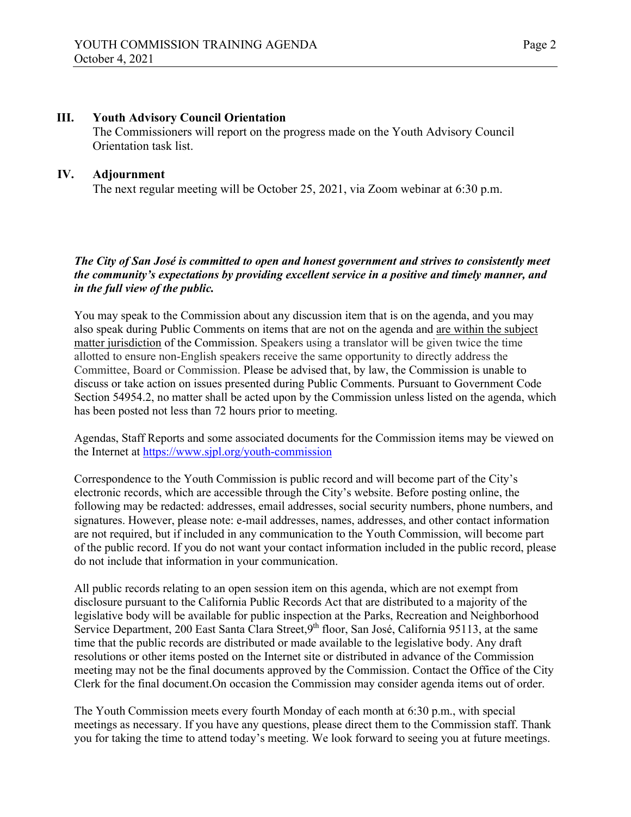### **III. Youth Advisory Council Orientation**

The Commissioners will report on the progress made on the Youth Advisory Council Orientation task list.

### **IV. Adjournment**

The next regular meeting will be October 25, 2021, via Zoom webinar at 6:30 p.m.

#### *The City of San José is committed to open and honest government and strives to consistently meet the community's expectations by providing excellent service in a positive and timely manner, and in the full view of the public.*

You may speak to the Commission about any discussion item that is on the agenda, and you may also speak during Public Comments on items that are not on the agenda and are within the subject matter jurisdiction of the Commission. Speakers using a translator will be given twice the time allotted to ensure non-English speakers receive the same opportunity to directly address the Committee, Board or Commission. Please be advised that, by law, the Commission is unable to discuss or take action on issues presented during Public Comments. Pursuant to Government Code Section 54954.2, no matter shall be acted upon by the Commission unless listed on the agenda, which has been posted not less than 72 hours prior to meeting.

Agendas, Staff Reports and some associated documents for the Commission items may be viewed on the Internet at<https://www.sjpl.org/youth-commission>

Correspondence to the Youth Commission is public record and will become part of the City's electronic records, which are accessible through the City's website. Before posting online, the following may be redacted: addresses, email addresses, social security numbers, phone numbers, and signatures. However, please note: e-mail addresses, names, addresses, and other contact information are not required, but if included in any communication to the Youth Commission, will become part of the public record. If you do not want your contact information included in the public record, please do not include that information in your communication.

All public records relating to an open session item on this agenda, which are not exempt from disclosure pursuant to the California Public Records Act that are distributed to a majority of the legislative body will be available for public inspection at the Parks, Recreation and Neighborhood Service Department, 200 East Santa Clara Street, 9<sup>th</sup> floor, San José, California 95113, at the same time that the public records are distributed or made available to the legislative body. Any draft resolutions or other items posted on the Internet site or distributed in advance of the Commission meeting may not be the final documents approved by the Commission. Contact the Office of the City Clerk for the final document.On occasion the Commission may consider agenda items out of order.

The Youth Commission meets every fourth Monday of each month at 6:30 p.m., with special meetings as necessary. If you have any questions, please direct them to the Commission staff. Thank you for taking the time to attend today's meeting. We look forward to seeing you at future meetings.